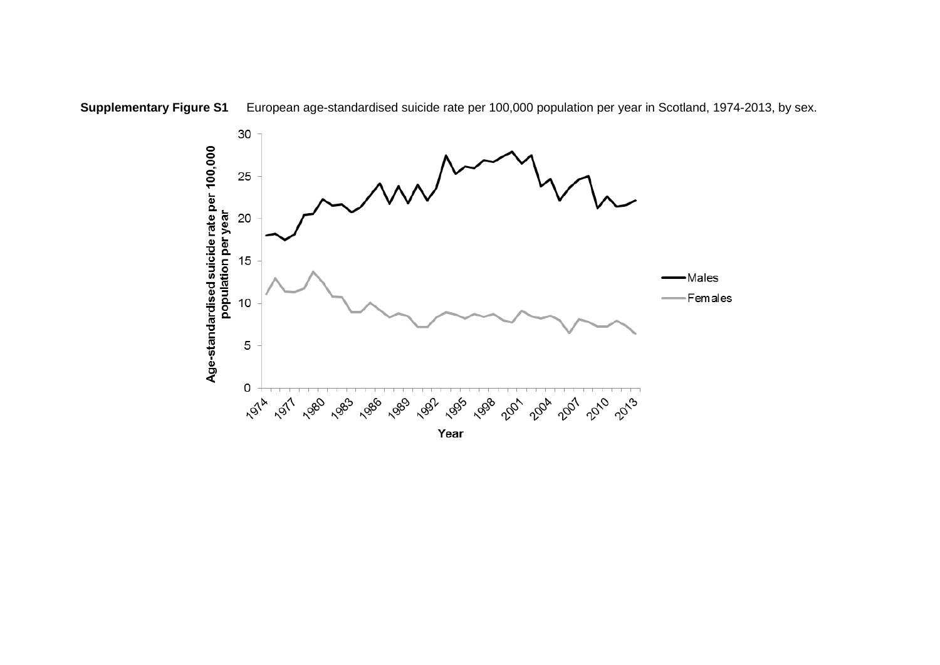

**Supplementary Figure S1** European age-standardised suicide rate per 100,000 population per year in Scotland, 1974-2013, by sex.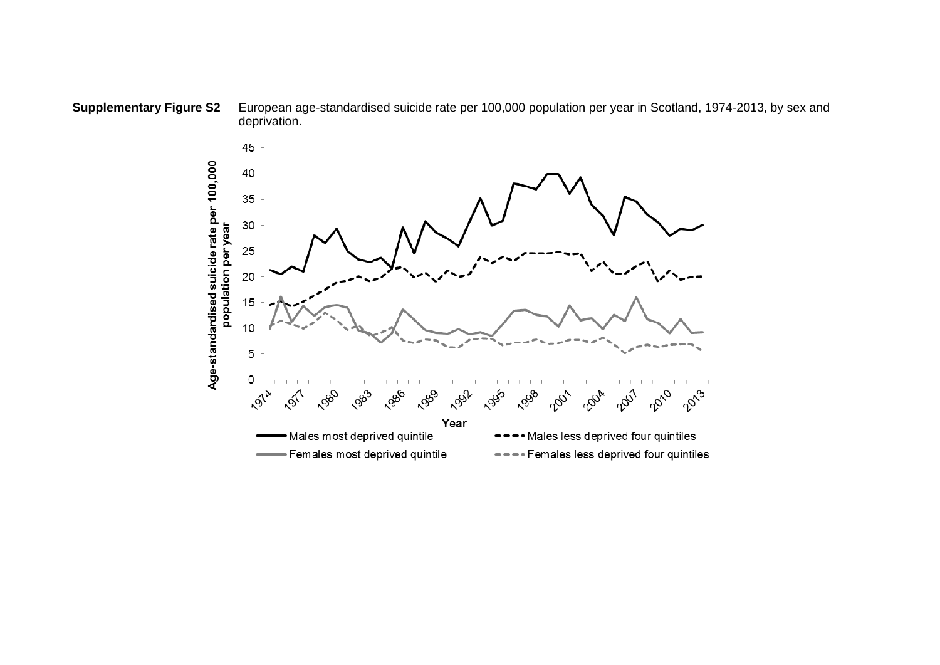### **Supplementary Figure S2** European age-standardised suicide rate per 100,000 population per year in Scotland, 1974-2013, by sex and deprivation.

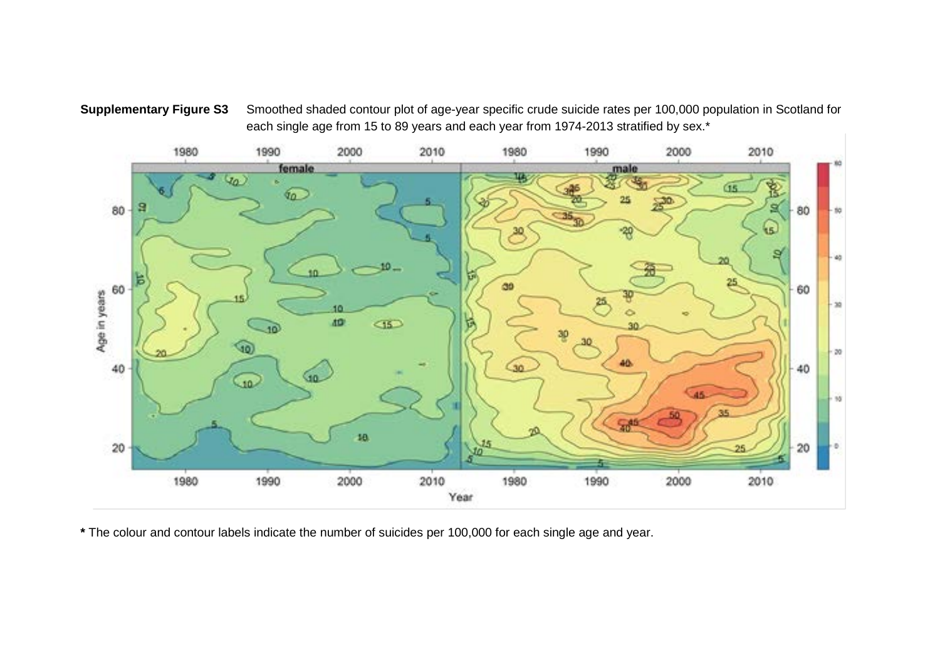### **Supplementary Figure S3** Smoothed shaded contour plot of age-year specific crude suicide rates per 100,000 population in Scotland for each single age from 15 to 89 years and each year from 1974-2013 stratified by sex.\*



**\*** The colour and contour labels indicate the number of suicides per 100,000 for each single age and year.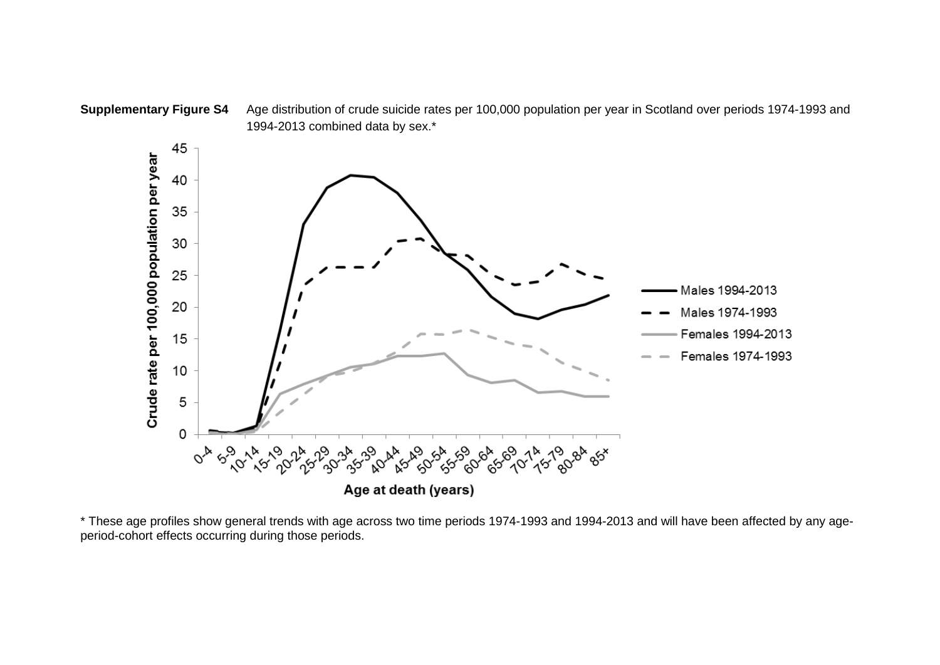

\* These age profiles show general trends with age across two time periods 1974-1993 and 1994-2013 and will have been affected by any ageperiod-cohort effects occurring during those periods.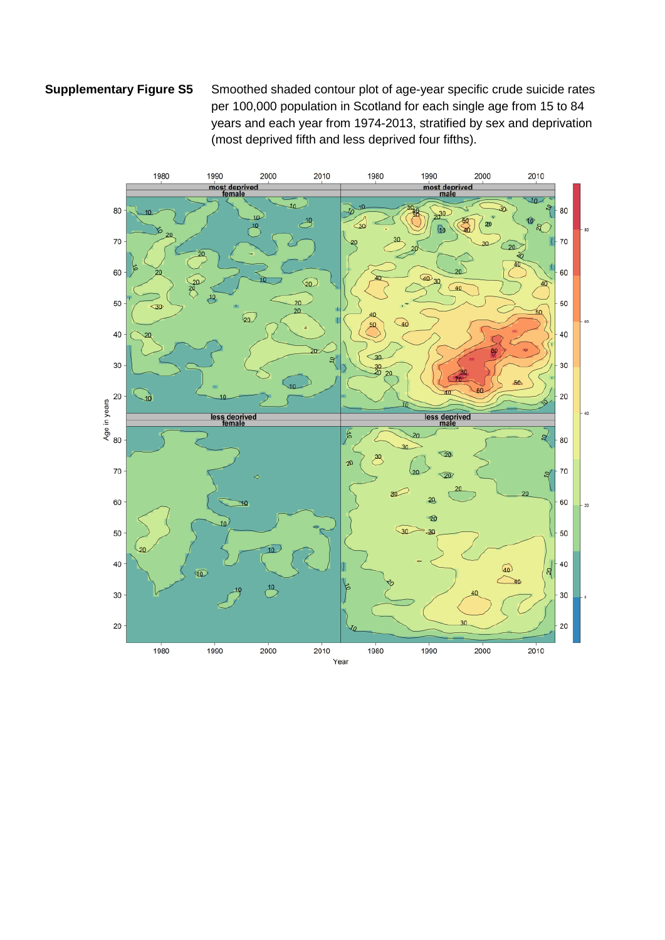## **Supplementary Figure S5** Smoothed shaded contour plot of age-year specific crude suicide rates per 100,000 population in Scotland for each single age from 15 to 84 years and each year from 1974-2013, stratified by sex and deprivation (most deprived fifth and less deprived four fifths).

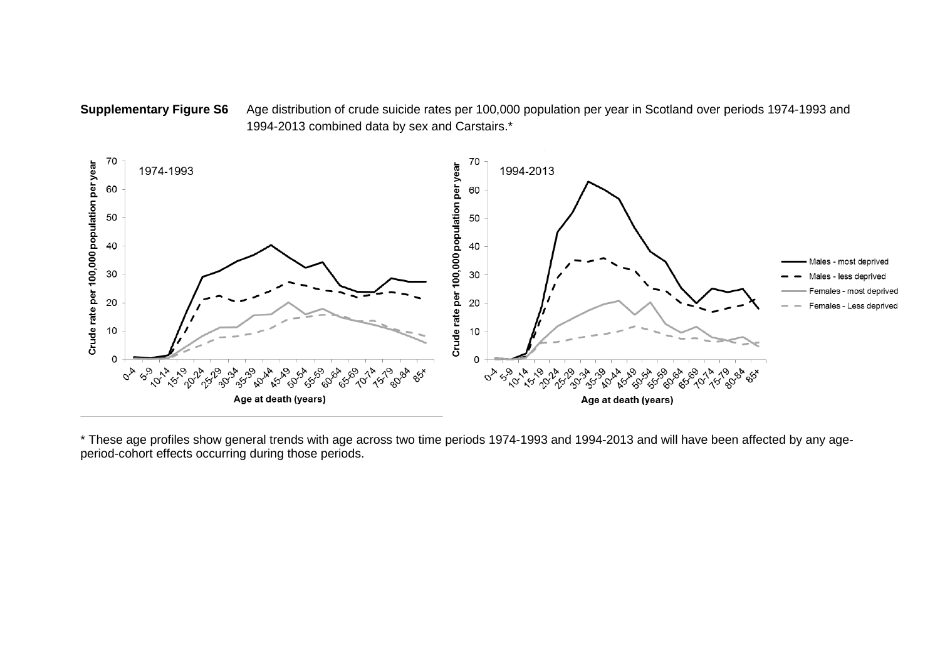



\* These age profiles show general trends with age across two time periods 1974-1993 and 1994-2013 and will have been affected by any ageperiod-cohort effects occurring during those periods.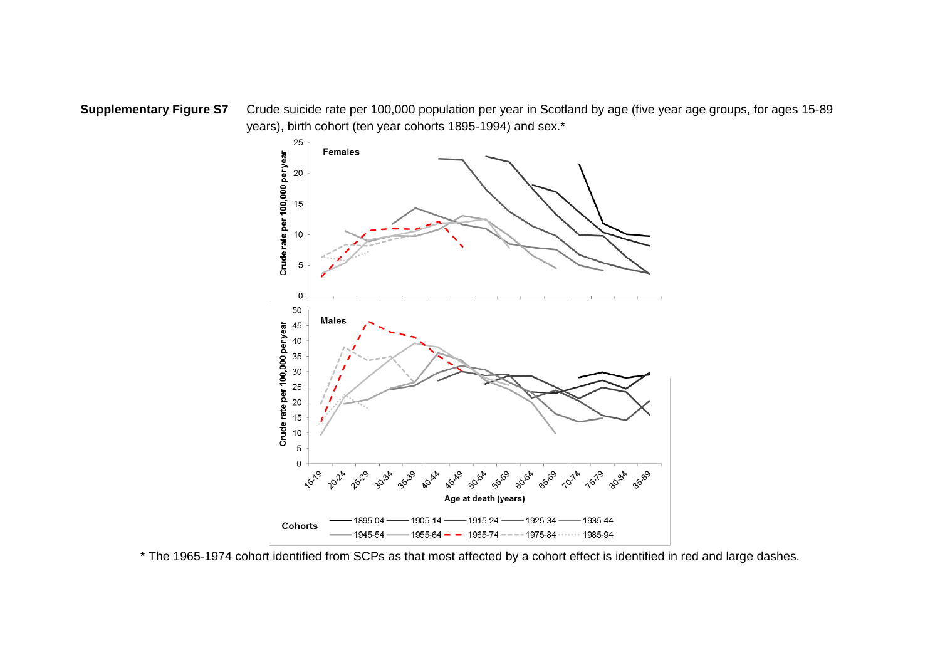**Supplementary Figure S7** Crude suicide rate per 100,000 population per year in Scotland by age (five year age groups, for ages 15-89 years), birth cohort (ten year cohorts 1895-1994) and sex.\*



\* The 1965-1974 cohort identified from SCPs as that most affected by a cohort effect is identified in red and large dashes.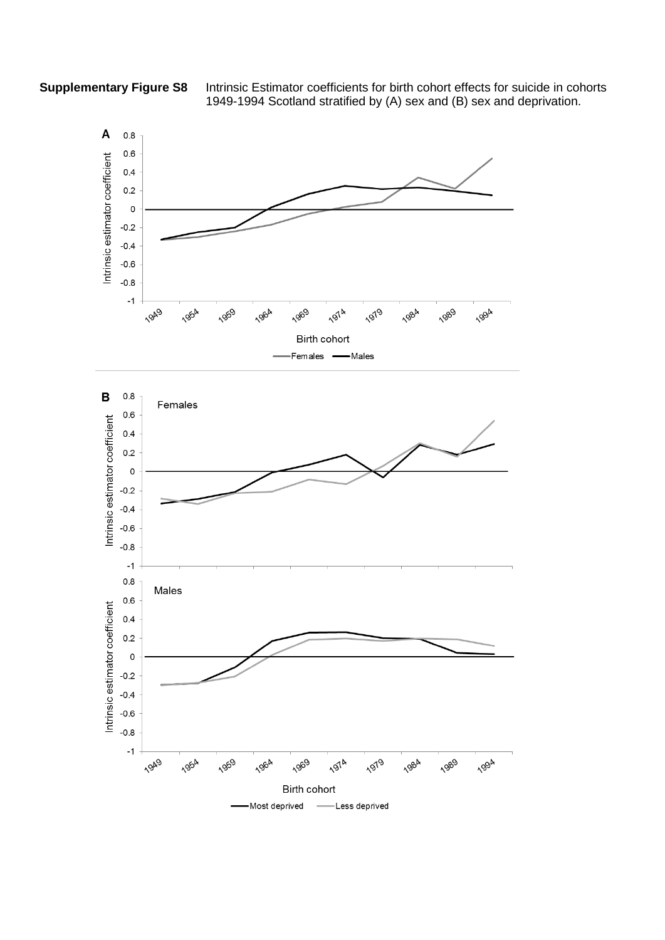**Supplementary Figure S8** Intrinsic Estimator coefficients for birth cohort effects for suicide in cohorts 1949-1994 Scotland stratified by (A) sex and (B) sex and deprivation.

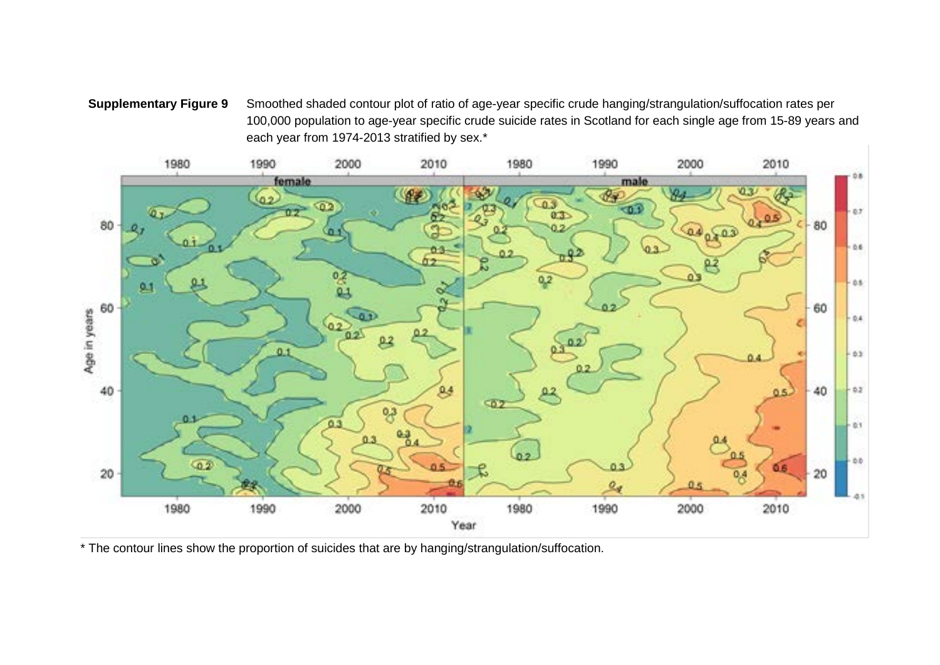# **Supplementary Figure 9** Smoothed shaded contour plot of ratio of age-year specific crude hanging/strangulation/suffocation rates per 100,000 population to age-year specific crude suicide rates in Scotland for each single age from 15-89 years and each year from 1974-2013 stratified by sex.\*



\* The contour lines show the proportion of suicides that are by hanging/strangulation/suffocation.